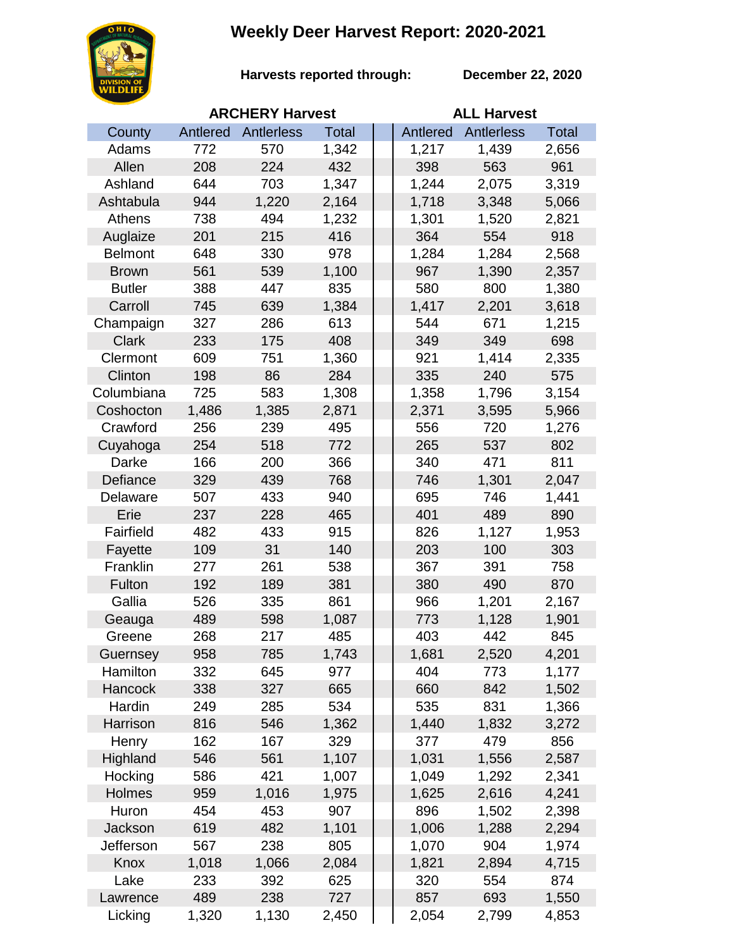## **Weekly Deer Harvest Report: 2020-2021**



**Harvests reported through:** 

**December 22, 2020**

|                |          | <b>ARCHERY Harvest</b> |              | <b>ALL Harvest</b> |                   |              |  |
|----------------|----------|------------------------|--------------|--------------------|-------------------|--------------|--|
| County         | Antlered | Antlerless             | <b>Total</b> | Antlered           | <b>Antlerless</b> | <b>Total</b> |  |
| Adams          | 772      | 570                    | 1,342        | 1,217              | 1,439             | 2,656        |  |
| Allen          | 208      | 224                    | 432          | 398                | 563               | 961          |  |
| Ashland        | 644      | 703                    | 1,347        | 1,244              | 2,075             | 3,319        |  |
| Ashtabula      | 944      | 1,220                  | 2,164        | 1,718              | 3,348             | 5,066        |  |
| Athens         | 738      | 494                    | 1,232        | 1,301              | 1,520             | 2,821        |  |
| Auglaize       | 201      | 215                    | 416          | 364                | 554               | 918          |  |
| <b>Belmont</b> | 648      | 330                    | 978          | 1,284              | 1,284             | 2,568        |  |
| <b>Brown</b>   | 561      | 539                    | 1,100        | 967                | 1,390             | 2,357        |  |
| <b>Butler</b>  | 388      | 447                    | 835          | 580                | 800               | 1,380        |  |
| Carroll        | 745      | 639                    | 1,384        | 1,417              | 2,201             | 3,618        |  |
| Champaign      | 327      | 286                    | 613          | 544                | 671               | 1,215        |  |
| <b>Clark</b>   | 233      | 175                    | 408          | 349                | 349               | 698          |  |
| Clermont       | 609      | 751                    | 1,360        | 921                | 1,414             | 2,335        |  |
| Clinton        | 198      | 86                     | 284          | 335                | 240               | 575          |  |
| Columbiana     | 725      | 583                    | 1,308        | 1,358              | 1,796             | 3,154        |  |
| Coshocton      | 1,486    | 1,385                  | 2,871        | 2,371              | 3,595             | 5,966        |  |
| Crawford       | 256      | 239                    | 495          | 556                | 720               | 1,276        |  |
| Cuyahoga       | 254      | 518                    | 772          | 265                | 537               | 802          |  |
| Darke          | 166      | 200                    | 366          | 340                | 471               | 811          |  |
| Defiance       | 329      | 439                    | 768          | 746                | 1,301             | 2,047        |  |
| Delaware       | 507      | 433                    | 940          | 695                | 746               | 1,441        |  |
| Erie           | 237      | 228                    | 465          | 401                | 489               | 890          |  |
| Fairfield      | 482      | 433                    | 915          | 826                | 1,127             | 1,953        |  |
| Fayette        | 109      | 31                     | 140          | 203                | 100               | 303          |  |
| Franklin       | 277      | 261                    | 538          | 367                | 391               | 758          |  |
| Fulton         | 192      | 189                    | 381          | 380                | 490               | 870          |  |
| Gallia         | 526      | 335                    | 861          | 966                | 1,201             | 2,167        |  |
| Geauga         | 489      | 598                    | 1,087        | 773                | 1,128             | 1,901        |  |
| Greene         | 268      | 217                    | 485          | 403                | 442               | 845          |  |
| Guernsey       | 958      | 785                    | 1,743        | 1,681              | 2,520             | 4,201        |  |
| Hamilton       | 332      | 645                    | 977          | 404                | 773               | 1,177        |  |
| Hancock        | 338      | 327                    | 665          | 660                | 842               | 1,502        |  |
| Hardin         | 249      | 285                    | 534          | 535                | 831               | 1,366        |  |
| Harrison       | 816      | 546                    | 1,362        | 1,440              | 1,832             | 3,272        |  |
| Henry          | 162      | 167                    | 329          | 377                | 479               | 856          |  |
| Highland       | 546      | 561                    | 1,107        | 1,031              | 1,556             | 2,587        |  |
| Hocking        | 586      | 421                    | 1,007        | 1,049              | 1,292             | 2,341        |  |
| Holmes         | 959      | 1,016                  | 1,975        | 1,625              | 2,616             | 4,241        |  |
| Huron          | 454      | 453                    | 907          | 896                | 1,502             | 2,398        |  |
| Jackson        | 619      | 482                    | 1,101        | 1,006              | 1,288             | 2,294        |  |
| Jefferson      | 567      | 238                    | 805          | 1,070              | 904               | 1,974        |  |
| Knox           | 1,018    | 1,066                  | 2,084        | 1,821              | 2,894             | 4,715        |  |
| Lake           | 233      | 392                    | 625          | 320                | 554               | 874          |  |
| Lawrence       | 489      | 238                    | 727          | 857                | 693               | 1,550        |  |
| Licking        | 1,320    | 1,130                  | 2,450        | 2,054              | 2,799             | 4,853        |  |